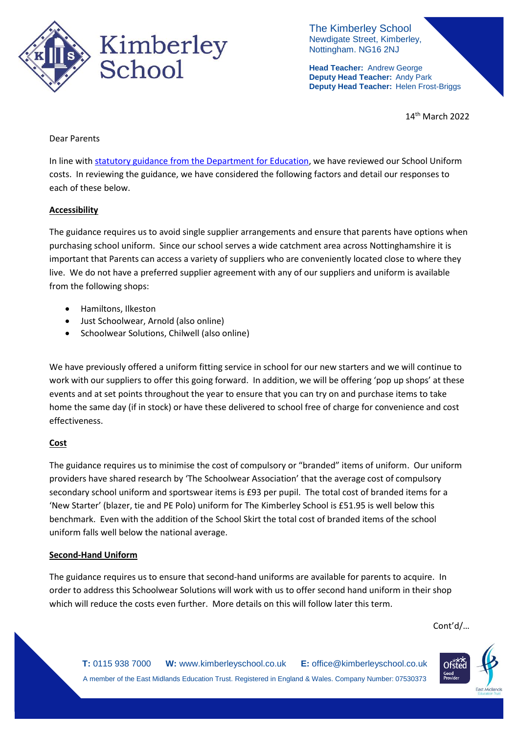

The Kimberley School Newdigate Street, Kimberley, Nottingham. NG16 2NJ

**Head Teacher:** Andrew George **Deputy Head Teacher:** Andy Park **Deputy Head Teacher:** Helen Frost-Briggs

14th March 2022

### Dear Parents

In line with [statutory guidance from the Department for Education,](https://www.gov.uk/government/publications/cost-of-school-uniforms/cost-of-school-uniforms) we have reviewed our School Uniform costs. In reviewing the guidance, we have considered the following factors and detail our responses to each of these below.

# **Accessibility**

The guidance requires us to avoid single supplier arrangements and ensure that parents have options when purchasing school uniform. Since our school serves a wide catchment area across Nottinghamshire it is important that Parents can access a variety of suppliers who are conveniently located close to where they live. We do not have a preferred supplier agreement with any of our suppliers and uniform is available from the following shops:

- Hamiltons, Ilkeston
- Just Schoolwear, Arnold (also online)
- Schoolwear Solutions, Chilwell (also online)

We have previously offered a uniform fitting service in school for our new starters and we will continue to work with our suppliers to offer this going forward. In addition, we will be offering 'pop up shops' at these events and at set points throughout the year to ensure that you can try on and purchase items to take home the same day (if in stock) or have these delivered to school free of charge for convenience and cost effectiveness.

# **Cost**

The guidance requires us to minimise the cost of compulsory or "branded" items of uniform. Our uniform providers have shared research by 'The Schoolwear Association' that the average cost of compulsory secondary school uniform and sportswear items is £93 per pupil. The total cost of branded items for a 'New Starter' (blazer, tie and PE Polo) uniform for The Kimberley School is £51.95 is well below this benchmark. Even with the addition of the School Skirt the total cost of branded items of the school uniform falls well below the national average.

### **Second-Hand Uniform**

The guidance requires us to ensure that second-hand uniforms are available for parents to acquire. In order to address this Schoolwear Solutions will work with us to offer second hand uniform in their shop which will reduce the costs even further. More details on this will follow later this term.

Cont'd/…